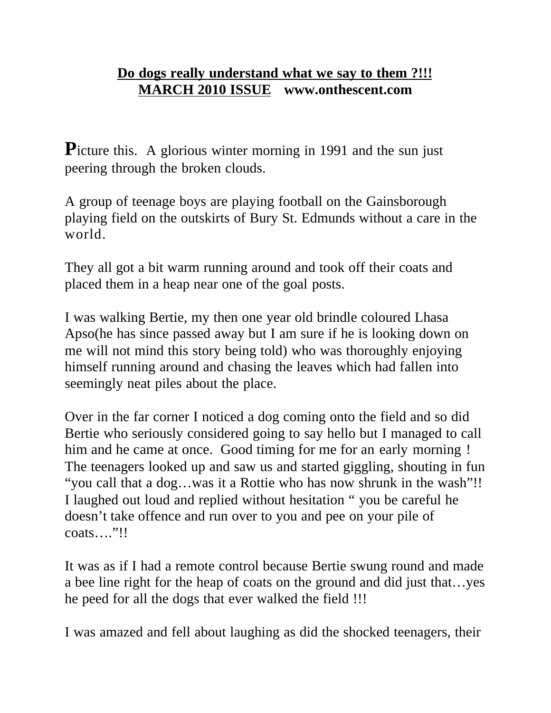## **Do dogs really understand what we say to them ?!!! MARCH 2010 ISSUE www.onthescent.com**

Picture this. A glorious winter morning in 1991 and the sun just peering through the broken clouds.

A group of teenage boys are playing football on the Gainsborough playing field on the outskirts of Bury St. Edmunds without a care in the world.

They all got a bit warm running around and took off their coats and placed them in a heap near one of the goal posts.

I was walking Bertie, my then one year old brindle coloured Lhasa Apso(he has since passed away but I am sure if he is looking down on me will not mind this story being told) who was thoroughly enjoying himself running around and chasing the leaves which had fallen into seemingly neat piles about the place.

Over in the far corner I noticed a dog coming onto the field and so did Bertie who seriously considered going to say hello but I managed to call him and he came at once. Good timing for me for an early morning ! The teenagers looked up and saw us and started giggling, shouting in fun "you call that a dog…was it a Rottie who has now shrunk in the wash"!! I laughed out loud and replied without hesitation " you be careful he doesn't take offence and run over to you and pee on your pile of coats…."!!

It was as if I had a remote control because Bertie swung round and made a bee line right for the heap of coats on the ground and did just that…yes he peed for all the dogs that ever walked the field !!!

I was amazed and fell about laughing as did the shocked teenagers, their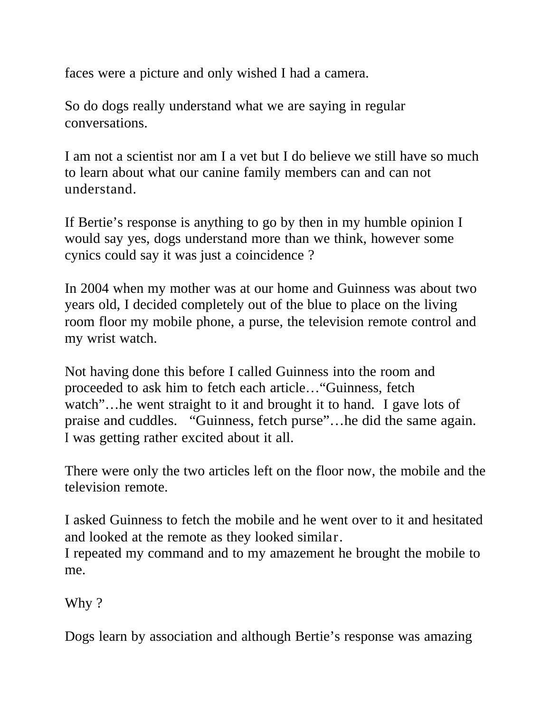faces were a picture and only wished I had a camera.

So do dogs really understand what we are saying in regular conversations.

I am not a scientist nor am I a vet but I do believe we still have so much to learn about what our canine family members can and can not understand.

If Bertie's response is anything to go by then in my humble opinion I would say yes, dogs understand more than we think, however some cynics could say it was just a coincidence ?

In 2004 when my mother was at our home and Guinness was about two years old, I decided completely out of the blue to place on the living room floor my mobile phone, a purse, the television remote control and my wrist watch.

Not having done this before I called Guinness into the room and proceeded to ask him to fetch each article…"Guinness, fetch watch"... he went straight to it and brought it to hand. I gave lots of praise and cuddles. "Guinness, fetch purse"…he did the same again. I was getting rather excited about it all.

There were only the two articles left on the floor now, the mobile and the television remote.

I asked Guinness to fetch the mobile and he went over to it and hesitated and looked at the remote as they looked similar.

I repeated my command and to my amazement he brought the mobile to me.

Why?

Dogs learn by association and although Bertie's response was amazing